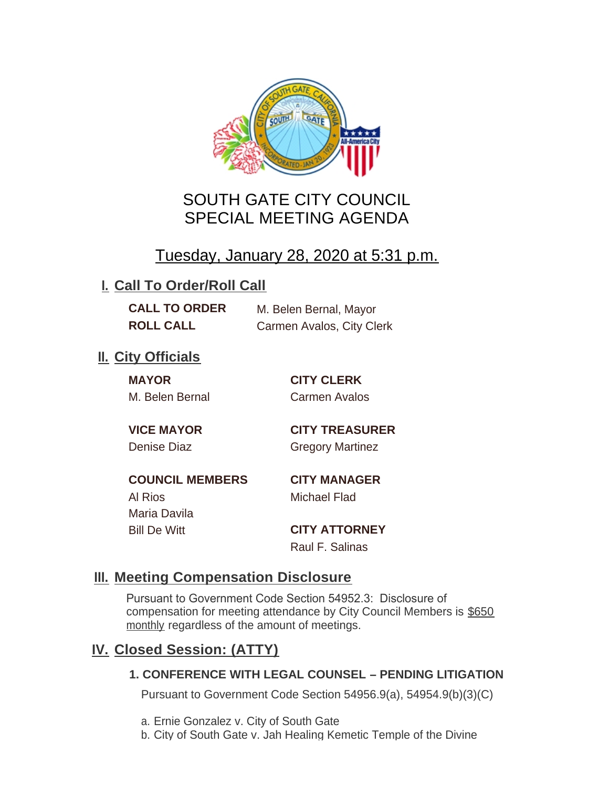

# SOUTH GATE CITY COUNCIL SPECIAL MEETING AGENDA

# Tuesday, January 28, 2020 at 5:31 p.m.

# **I. Call To Order/Roll Call**

**CALL TO ORDER** M. Belen Bernal, Mayor **ROLL CALL** Carmen Avalos, City Clerk

# **II.** City Officials

**MAYOR CITY CLERK** M. Belen Bernal Carmen Avalos

**VICE MAYOR CITY TREASURER** Denise Diaz Gregory Martinez

**COUNCIL MEMBERS CITY MANAGER** Al Rios Michael Flad Maria Davila

Bill De Witt **CITY ATTORNEY** Raul F. Salinas

### **Meeting Compensation Disclosure III.**

Pursuant to Government Code Section 54952.3: Disclosure of compensation for meeting attendance by City Council Members is \$650 monthly regardless of the amount of meetings.

### **Closed Session: (ATTY) IV.**

#### **1. CONFERENCE WITH LEGAL COUNSEL – PENDING LITIGATION**

Pursuant to Government Code Section 54956.9(a), 54954.9(b)(3)(C)

- a. Ernie Gonzalez v. City of South Gate
- b. City of South Gate v. Jah Healing Kemetic Temple of the Divine